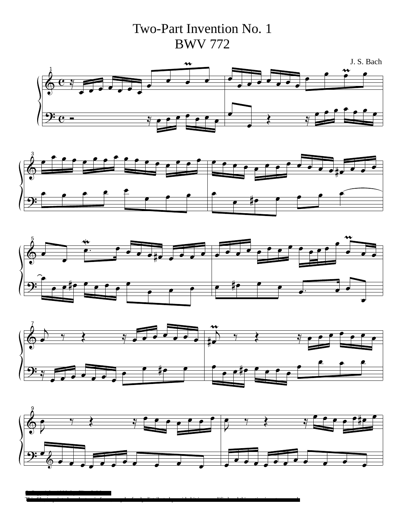Two-Part Invention No. 1 BWV 772











This file, in printed or electronic form, may be freely distributed provided it is unmodified and this notice is not removed

© Copyright, 1998, by Clint S. Mers